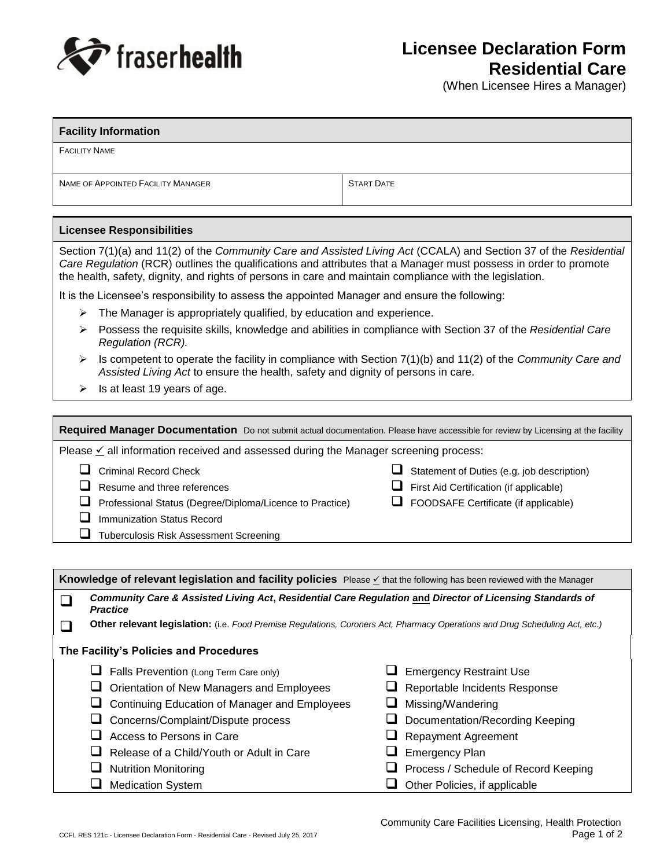

(When Licensee Hires a Manager)

## **Facility Information**

FACILITY NAME

NAME OF APPOINTED FACILITY MANAGER START DATE

## **Licensee Responsibilities**

Section 7(1)(a) and 11(2) of the *Community Care and Assisted Living Act* (CCALA) and Section 37 of the *Residential Care Regulation* (RCR) outlines the qualifications and attributes that a Manager must possess in order to promote the health, safety, dignity, and rights of persons in care and maintain compliance with the legislation.

It is the Licensee's responsibility to assess the appointed Manager and ensure the following:

- $\triangleright$  The Manager is appropriately qualified, by education and experience.
- Possess the requisite skills, knowledge and abilities in compliance with Section 37 of the *Residential Care Regulation (RCR).*
- Is competent to operate the facility in compliance with Section 7(1)(b) and 11(2) of the *Community Care and Assisted Living Act* to ensure the health, safety and dignity of persons in care.
- $\triangleright$  Is at least 19 years of age.

**Required Manager Documentation** Do not submit actual documentation. Please have accessible for review by Licensing at the facility Please  $\checkmark$  all information received and assessed during the Manager screening process:  $\Box$  Criminal Record Check  $\Box$  Resume and three references Professional Status (Degree/Diploma/Licence to Practice) **Immunization Status Record T** Tuberculosis Risk Assessment Screening  $\Box$  Statement of Duties (e.g. job description)  $\Box$  First Aid Certification (if applicable)  $\Box$  FOODSAFE Certificate (if applicable)

Knowledge of relevant legislation and facility policies Please of that the following has been reviewed with the Manager *Community Care & Assisted Living Act***,** *Residential Care Regulation* **and** *Director of Licensing Standards of Practice* **Other relevant legislation:** (i.e. *Food Premise Regulations, Coroners Act, Pharmacy Operations and Drug Scheduling Act, etc.)* **The Facility's Policies and Procedures** Falls Prevention (Long Term Care only)  $\Box$  Orientation of New Managers and Employees  $\Box$  Continuing Education of Manager and Employees  $\Box$  Concerns/Complaint/Dispute process  $\Box$  Access to Persons in Care Release of a Child/Youth or Adult in Care  $\Box$  Nutrition Monitoring  $\Box$  Medication System **Exergency Restraint Use**  $\Box$  Reportable Incidents Response  $\Box$  Missing/Wandering  $\Box$  Documentation/Recording Keeping **Repayment Agreement**  $\Box$  Emergency Plan Process / Schedule of Record Keeping  $\Box$  Other Policies, if applicable